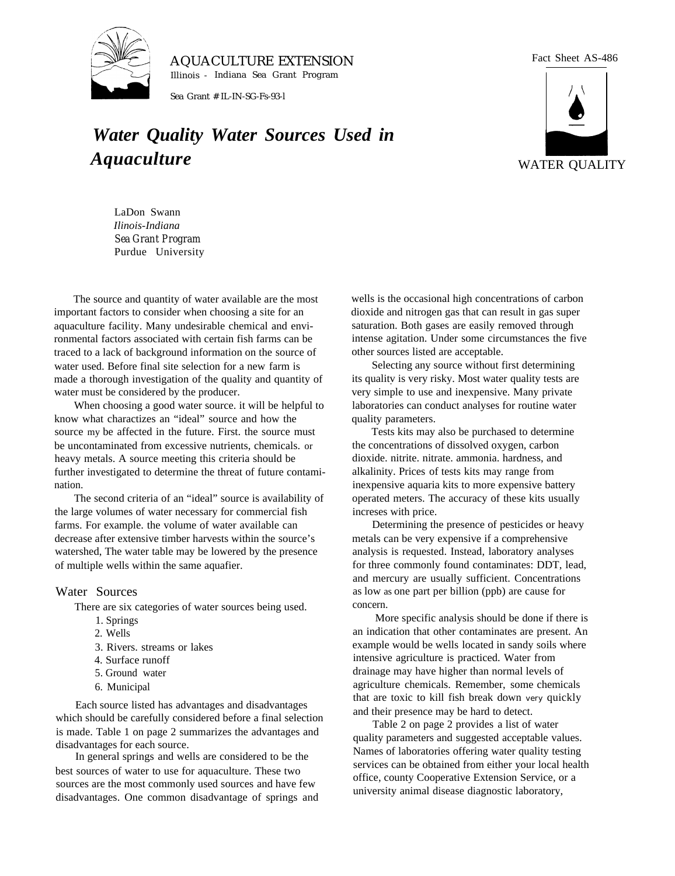

AQUACULTURE EXTENSION Illinois - Indiana Sea Grant Program

Sea Grant # IL-IN-SG-Fs-93-l

## *Water Quality Water Sources Used in Aquaculture*

Fact Sheet AS-486



LaDon Swann *Ilinois-Indiana Sea Grant Program* Purdue University

The source and quantity of water available are the most important factors to consider when choosing a site for an aquaculture facility. Many undesirable chemical and environmental factors associated with certain fish farms can be traced to a lack of background information on the source of water used. Before final site selection for a new farm is made a thorough investigation of the quality and quantity of water must be considered by the producer.

When choosing a good water source. it will be helpful to know what charactizes an "ideal" source and how the source my be affected in the future. First. the source must be uncontaminated from excessive nutrients, chemicals. or heavy metals. A source meeting this criteria should be further investigated to determine the threat of future contamination.

The second criteria of an "ideal" source is availability of the large volumes of water necessary for commercial fish farms. For example. the volume of water available can decrease after extensive timber harvests within the source's watershed, The water table may be lowered by the presence of multiple wells within the same aquafier.

## Water Sources

There are six categories of water sources being used.

- 1. Springs
- 2. Wells
- 3. Rivers. streams or lakes
- 4. Surface runoff
- 5. Ground water
- 6. Municipal

Each source listed has advantages and disadvantages which should be carefully considered before a final selection is made. Table 1 on page 2 summarizes the advantages and disadvantages for each source.

In general springs and wells are considered to be the best sources of water to use for aquaculture. These two sources are the most commonly used sources and have few disadvantages. One common disadvantage of springs and wells is the occasional high concentrations of carbon dioxide and nitrogen gas that can result in gas super saturation. Both gases are easily removed through intense agitation. Under some circumstances the five other sources listed are acceptable.

Selecting any source without first determining its quality is very risky. Most water quality tests are very simple to use and inexpensive. Many private laboratories can conduct analyses for routine water quality parameters.

Tests kits may also be purchased to determine the concentrations of dissolved oxygen, carbon dioxide. nitrite. nitrate. ammonia. hardness, and alkalinity. Prices of tests kits may range from inexpensive aquaria kits to more expensive battery operated meters. The accuracy of these kits usually increses with price.

Determining the presence of pesticides or heavy metals can be very expensive if a comprehensive analysis is requested. Instead, laboratory analyses for three commonly found contaminates: DDT, lead, and mercury are usually sufficient. Concentrations as low as one part per billion (ppb) are cause for concern.

More specific analysis should be done if there is an indication that other contaminates are present. An example would be wells located in sandy soils where intensive agriculture is practiced. Water from drainage may have higher than normal levels of agriculture chemicals. Remember, some chemicals that are toxic to kill fish break down very quickly and their presence may be hard to detect.

Table 2 on page 2 provides a list of water quality parameters and suggested acceptable values. Names of laboratories offering water quality testing services can be obtained from either your local health office, county Cooperative Extension Service, or a university animal disease diagnostic laboratory,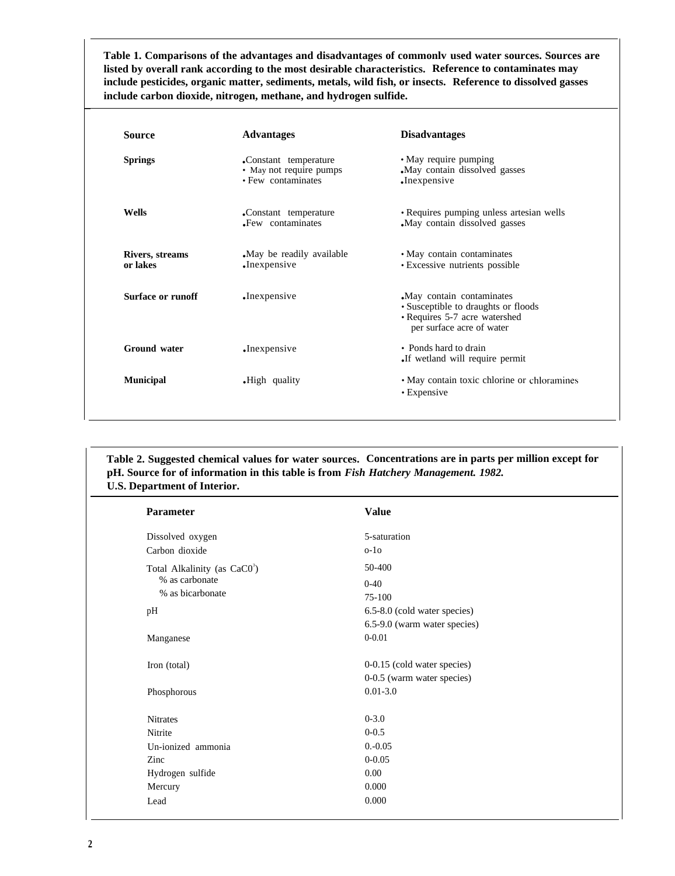**Table 1. Comparisons of the advantages and disadvantages of commonlv used water sources. Sources are listed by overall rank according to the most desirable characteristics. Reference to contaminates may include pesticides, organic matter, sediments, metals, wild fish, or insects. Reference to dissolved gasses include carbon dioxide, nitrogen, methane, and hydrogen sulfide.**

| <b>Source</b>               | <b>Advantages</b>                                                                                                                                    | <b>Disadvantages</b>                                                     |
|-----------------------------|------------------------------------------------------------------------------------------------------------------------------------------------------|--------------------------------------------------------------------------|
| <b>Springs</b>              | .Constant temperature<br>• May not require pumps<br>• Few contaminates                                                                               | • May require pumping<br>May contain dissolved gasses<br>.Inexpensive    |
| Wells                       | .Constant temperature<br>Few contaminates                                                                                                            | • Requires pumping unless artesian wells<br>May contain dissolved gasses |
| Rivers, streams<br>or lakes | • May contain contaminates<br>May be readily available.<br>• Excessive nutrients possible<br>.Inexpensive                                            |                                                                          |
| Surface or runoff           | May contain contaminates<br>$\cdot$ Inexpensive<br>• Susceptible to draughts or floods<br>• Requires 5-7 acre watershed<br>per surface acre of water |                                                                          |
| <b>Ground</b> water         | •Inexpensive                                                                                                                                         | • Ponds hard to drain<br>If wetland will require permit.                 |
| <b>Municipal</b>            | .High quality                                                                                                                                        | • May contain toxic chlorine or chloramines<br>• Expensive               |

## **Table 2. Suggested chemical values for water sources. Concentrations are in parts per million except for pH. Source for of information in this table is from** *Fish Hatchery Management. 1982.* **U.S. Department of Interior.**

| Parameter                                | <b>Value</b>                 |
|------------------------------------------|------------------------------|
| Dissolved oxygen                         | 5-saturation                 |
| Carbon dioxide                           | $0-10$                       |
| Total Alkalinity (as CaC0 <sup>3</sup> ) | 50-400                       |
| % as carbonate                           | $0 - 40$                     |
| % as bicarbonate                         | 75-100                       |
| pH                                       | 6.5-8.0 (cold water species) |
|                                          | 6.5-9.0 (warm water species) |
| Manganese                                | $0 - 0.01$                   |
| Iron (total)                             | 0-0.15 (cold water species)  |
|                                          | 0-0.5 (warm water species)   |
| Phosphorous                              | $0.01 - 3.0$                 |
| <b>Nitrates</b>                          | $0 - 3.0$                    |
| Nitrite                                  | $0 - 0.5$                    |
| Un-ionized ammonia                       | $0. -0.05$                   |
| Zinc                                     | $0 - 0.05$                   |
| Hydrogen sulfide                         | $0.00\,$                     |
| Mercury                                  | 0.000                        |
| Lead                                     | 0.000                        |

 $\overline{a}$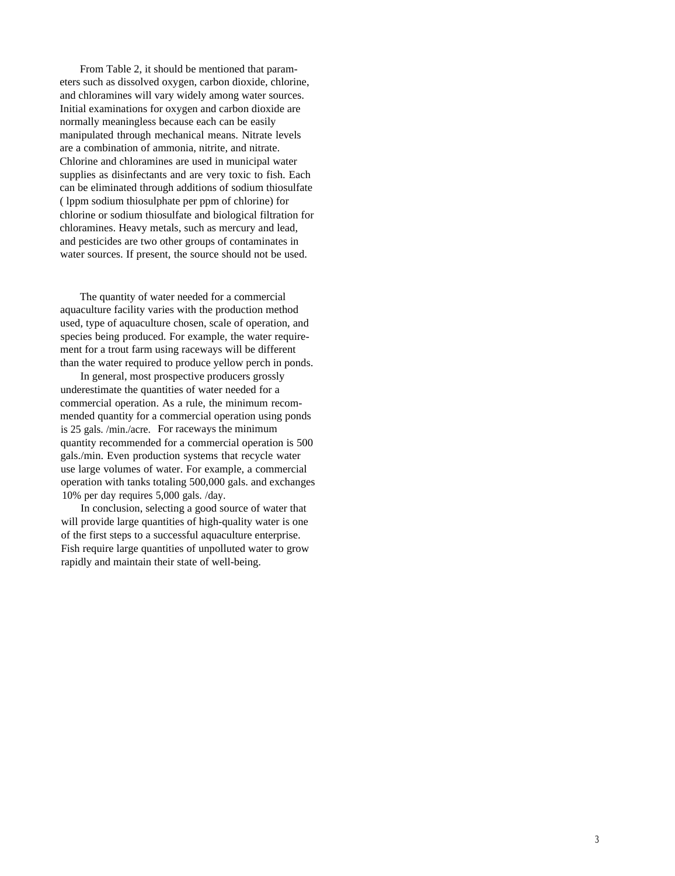From Table 2, it should be mentioned that parameters such as dissolved oxygen, carbon dioxide, chlorine, and chloramines will vary widely among water sources. Initial examinations for oxygen and carbon dioxide are normally meaningless because each can be easily manipulated through mechanical means. Nitrate levels are a combination of ammonia, nitrite, and nitrate. Chlorine and chloramines are used in municipal water supplies as disinfectants and are very toxic to fish. Each can be eliminated through additions of sodium thiosulfate ( lppm sodium thiosulphate per ppm of chlorine) for chlorine or sodium thiosulfate and biological filtration for chloramines. Heavy metals, such as mercury and lead, and pesticides are two other groups of contaminates in water sources. If present, the source should not be used.

The quantity of water needed for a commercial aquaculture facility varies with the production method used, type of aquaculture chosen, scale of operation, and species being produced. For example, the water requirement for a trout farm using raceways will be different than the water required to produce yellow perch in ponds.

In general, most prospective producers grossly underestimate the quantities of water needed for a commercial operation. As a rule, the minimum recommended quantity for a commercial operation using ponds is 25 gals. /min./acre. For raceways the minimum quantity recommended for a commercial operation is 500 gals./min. Even production systems that recycle water use large volumes of water. For example, a commercial operation with tanks totaling 500,000 gals. and exchanges 10% per day requires 5,000 gals. /day.

In conclusion, selecting a good source of water that will provide large quantities of high-quality water is one of the first steps to a successful aquaculture enterprise. Fish require large quantities of unpolluted water to grow rapidly and maintain their state of well-being.